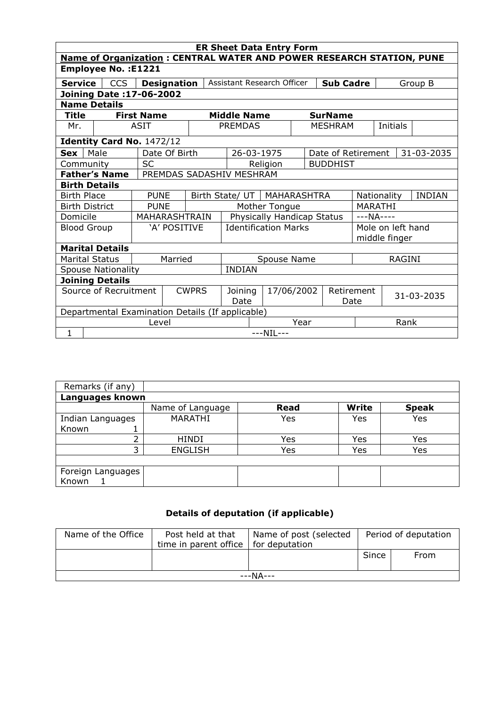| <b>ER Sheet Data Entry Form</b>                                             |                                                  |                           |                           |                                             |  |                               |                                                  |          |            |                    |                                    |          |  |            |
|-----------------------------------------------------------------------------|--------------------------------------------------|---------------------------|---------------------------|---------------------------------------------|--|-------------------------------|--------------------------------------------------|----------|------------|--------------------|------------------------------------|----------|--|------------|
| <b>Name of Organization: CENTRAL WATER AND POWER RESEARCH STATION, PUNE</b> |                                                  |                           |                           |                                             |  |                               |                                                  |          |            |                    |                                    |          |  |            |
| <b>Employee No.: E1221</b>                                                  |                                                  |                           |                           |                                             |  |                               |                                                  |          |            |                    |                                    |          |  |            |
| <b>Service</b>                                                              |                                                  | <b>CCS</b>                |                           | <b>Designation</b>                          |  |                               | Assistant Research Officer                       |          |            | <b>Sub Cadre</b>   |                                    | Group B  |  |            |
| Joining Date: 17-06-2002                                                    |                                                  |                           |                           |                                             |  |                               |                                                  |          |            |                    |                                    |          |  |            |
| <b>Name Details</b>                                                         |                                                  |                           |                           |                                             |  |                               |                                                  |          |            |                    |                                    |          |  |            |
| <b>Title</b>                                                                |                                                  |                           | <b>First Name</b>         |                                             |  |                               | <b>Middle Name</b>                               |          |            | <b>SurName</b>     |                                    |          |  |            |
| Mr.                                                                         |                                                  |                           | <b>ASIT</b>               |                                             |  |                               | <b>PREMDAS</b>                                   |          |            | <b>MESHRAM</b>     |                                    | Initials |  |            |
|                                                                             |                                                  |                           | Identity Card No. 1472/12 |                                             |  |                               |                                                  |          |            |                    |                                    |          |  |            |
| <b>Sex</b>                                                                  | Male                                             |                           |                           | Date Of Birth                               |  |                               | 26-03-1975                                       |          |            | Date of Retirement |                                    |          |  | 31-03-2035 |
| Community                                                                   |                                                  |                           | <b>SC</b>                 |                                             |  |                               |                                                  | Religion |            | <b>BUDDHIST</b>    |                                    |          |  |            |
|                                                                             | <b>Father's Name</b><br>PREMDAS SADASHIV MESHRAM |                           |                           |                                             |  |                               |                                                  |          |            |                    |                                    |          |  |            |
|                                                                             | <b>Birth Details</b>                             |                           |                           |                                             |  |                               |                                                  |          |            |                    |                                    |          |  |            |
| <b>Birth Place</b>                                                          |                                                  |                           | <b>PUNE</b>               |                                             |  | Birth State/ UT   MAHARASHTRA |                                                  |          |            |                    | <b>INDIAN</b><br>Nationality       |          |  |            |
| <b>Birth District</b>                                                       |                                                  | <b>PUNE</b>               |                           | Mother Tongue                               |  |                               |                                                  |          |            | <b>MARATHI</b>     |                                    |          |  |            |
| Domicile                                                                    |                                                  |                           | MAHARASHTRAIN             |                                             |  | Physically Handicap Status    |                                                  |          | $---NA---$ |                    |                                    |          |  |            |
|                                                                             | <b>Blood Group</b>                               |                           |                           | 'A' POSITIVE                                |  | <b>Identification Marks</b>   |                                                  |          |            |                    | Mole on left hand<br>middle finger |          |  |            |
|                                                                             |                                                  |                           |                           |                                             |  |                               |                                                  |          |            |                    |                                    |          |  |            |
|                                                                             |                                                  | <b>Marital Details</b>    |                           |                                             |  |                               |                                                  |          |            |                    |                                    |          |  |            |
| <b>Marital Status</b>                                                       |                                                  |                           |                           | Married                                     |  |                               | <b>RAGINI</b><br>Spouse Name                     |          |            |                    |                                    |          |  |            |
|                                                                             |                                                  | <b>Spouse Nationality</b> |                           |                                             |  |                               | <b>INDIAN</b>                                    |          |            |                    |                                    |          |  |            |
| <b>Joining Details</b>                                                      |                                                  |                           |                           |                                             |  |                               |                                                  |          |            |                    |                                    |          |  |            |
| Source of Recruitment<br><b>CWPRS</b>                                       |                                                  |                           |                           | Joining<br>17/06/2002<br>Retirement<br>Date |  | Date                          | 31-03-2035                                       |          |            |                    |                                    |          |  |            |
|                                                                             |                                                  |                           |                           |                                             |  |                               | Departmental Examination Details (If applicable) |          |            |                    |                                    |          |  |            |
| Level                                                                       |                                                  |                           |                           |                                             |  | Year                          |                                                  |          | Rank       |                    |                                    |          |  |            |
| 1                                                                           | $---NIL---$                                      |                           |                           |                                             |  |                               |                                                  |          |            |                    |                                    |          |  |            |

| Remarks (if any)  |                  |      |              |              |  |  |  |  |  |  |
|-------------------|------------------|------|--------------|--------------|--|--|--|--|--|--|
| Languages known   |                  |      |              |              |  |  |  |  |  |  |
|                   | Name of Language | Read | <b>Write</b> | <b>Speak</b> |  |  |  |  |  |  |
| Indian Languages  | <b>MARATHI</b>   | Yes  | Yes          | Yes          |  |  |  |  |  |  |
| Known             |                  |      |              |              |  |  |  |  |  |  |
| ∍                 | <b>HINDI</b>     | Yes  | Yes          | Yes          |  |  |  |  |  |  |
| っ                 | <b>ENGLISH</b>   | Yes  | Yes          | Yes          |  |  |  |  |  |  |
|                   |                  |      |              |              |  |  |  |  |  |  |
| Foreign Languages |                  |      |              |              |  |  |  |  |  |  |
| Known             |                  |      |              |              |  |  |  |  |  |  |

## Details of deputation (if applicable)

| Name of the Office | Post held at that<br>time in parent office | Name of post (selected<br>for deputation | Period of deputation |      |  |  |  |
|--------------------|--------------------------------------------|------------------------------------------|----------------------|------|--|--|--|
|                    |                                            |                                          | Since                | From |  |  |  |
| ---NA---           |                                            |                                          |                      |      |  |  |  |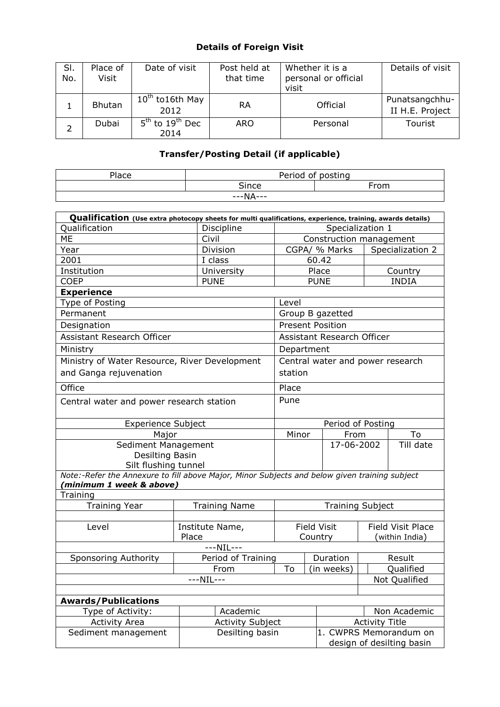## Details of Foreign Visit

| SI.<br>No. | Place of<br>Visit | Date of visit                                   | Post held at<br>that time | Whether it is a<br>personal or official<br>visit | Details of visit                  |
|------------|-------------------|-------------------------------------------------|---------------------------|--------------------------------------------------|-----------------------------------|
|            | <b>Bhutan</b>     | $10^{th}$ to 16th May<br>2012                   | RA                        | Official                                         | Punatsangchhu-<br>II H.E. Project |
| ∍          | Dubai             | 5 <sup>th</sup> to 19 <sup>th</sup> Dec<br>2014 | ARO                       | Personal                                         | Tourist                           |

## Transfer/Posting Detail (if applicable)

| Place    |       | Period of posting |  |  |  |  |  |
|----------|-------|-------------------|--|--|--|--|--|
|          | Since | From              |  |  |  |  |  |
| ---NA--- |       |                   |  |  |  |  |  |

| Qualification (Use extra photocopy sheets for multi qualifications, experience, training, awards details)                 |                                            |                                                     |                       |                                  |                   |                  |
|---------------------------------------------------------------------------------------------------------------------------|--------------------------------------------|-----------------------------------------------------|-----------------------|----------------------------------|-------------------|------------------|
| Qualification                                                                                                             | Discipline                                 |                                                     | Specialization 1      |                                  |                   |                  |
| <b>ME</b>                                                                                                                 | Civil                                      |                                                     |                       | Construction management          |                   |                  |
| Year                                                                                                                      | Division                                   |                                                     | CGPA/ % Marks         |                                  |                   | Specialization 2 |
| 2001                                                                                                                      | I class                                    | 60.42                                               |                       |                                  |                   |                  |
| Institution                                                                                                               | University                                 |                                                     | Place                 |                                  |                   | Country          |
| <b>COEP</b>                                                                                                               | <b>PUNE</b>                                |                                                     | <b>PUNE</b>           |                                  |                   | <b>INDIA</b>     |
| <b>Experience</b>                                                                                                         |                                            |                                                     |                       |                                  |                   |                  |
| Type of Posting                                                                                                           |                                            | Level                                               |                       |                                  |                   |                  |
| Permanent                                                                                                                 |                                            |                                                     |                       | Group B gazetted                 |                   |                  |
| Designation                                                                                                               |                                            | <b>Present Position</b>                             |                       |                                  |                   |                  |
| Assistant Research Officer                                                                                                |                                            |                                                     |                       | Assistant Research Officer       |                   |                  |
| Ministry                                                                                                                  |                                            | Department                                          |                       |                                  |                   |                  |
| Ministry of Water Resource, River Development                                                                             |                                            |                                                     |                       | Central water and power research |                   |                  |
| and Ganga rejuvenation                                                                                                    |                                            | station                                             |                       |                                  |                   |                  |
| Office                                                                                                                    |                                            | Place                                               |                       |                                  |                   |                  |
| Central water and power research station                                                                                  | Pune                                       |                                                     |                       |                                  |                   |                  |
| <b>Experience Subject</b>                                                                                                 |                                            |                                                     |                       | Period of Posting                |                   |                  |
| Major                                                                                                                     |                                            | Minor<br>To<br>From                                 |                       |                                  |                   |                  |
| Sediment Management                                                                                                       |                                            |                                                     |                       | 17-06-2002                       |                   | Till date        |
| Desilting Basin                                                                                                           |                                            |                                                     |                       |                                  |                   |                  |
| Silt flushing tunnel                                                                                                      |                                            |                                                     |                       |                                  |                   |                  |
| Note:-Refer the Annexure to fill above Major, Minor Subjects and below given training subject<br>(minimum 1 week & above) |                                            |                                                     |                       |                                  |                   |                  |
| Training                                                                                                                  |                                            |                                                     |                       |                                  |                   |                  |
| <b>Training Year</b>                                                                                                      | <b>Training Name</b>                       | <b>Training Subject</b>                             |                       |                                  |                   |                  |
|                                                                                                                           |                                            |                                                     |                       |                                  |                   |                  |
| Level                                                                                                                     | Institute Name,                            | <b>Field Visit</b>                                  |                       |                                  | Field Visit Place |                  |
|                                                                                                                           | Place                                      |                                                     | Country               |                                  | (within India)    |                  |
|                                                                                                                           | $---NIL---$                                |                                                     |                       |                                  |                   |                  |
| <b>Sponsoring Authority</b>                                                                                               | Period of Training                         |                                                     | Duration              |                                  | Result            |                  |
|                                                                                                                           | To                                         |                                                     | (in weeks)            |                                  | Qualified         |                  |
|                                                                                                                           | $---NIL---$                                |                                                     |                       |                                  |                   | Not Qualified    |
|                                                                                                                           |                                            |                                                     |                       |                                  |                   |                  |
| <b>Awards/Publications</b>                                                                                                | Academic                                   |                                                     |                       |                                  |                   |                  |
| Type of Activity:                                                                                                         |                                            |                                                     |                       |                                  | Non Academic      |                  |
| <b>Activity Area</b>                                                                                                      | <b>Activity Subject</b><br>Desilting basin |                                                     | <b>Activity Title</b> |                                  |                   |                  |
| Sediment management                                                                                                       |                                            | 1. CWPRS Memorandum on<br>design of desilting basin |                       |                                  |                   |                  |